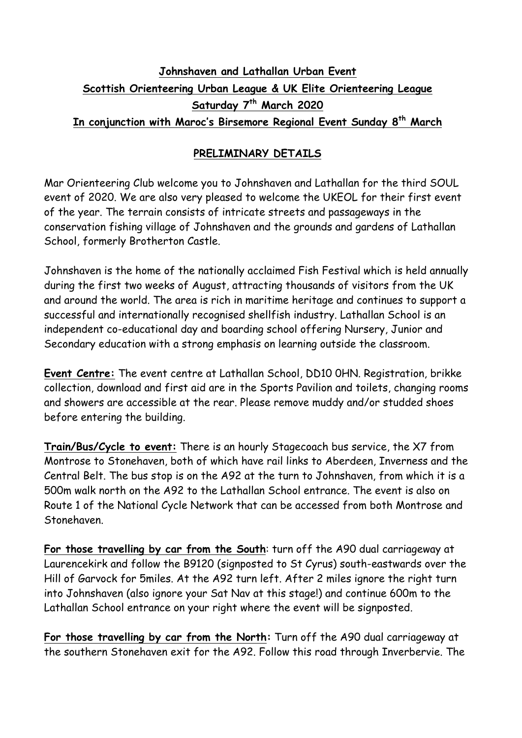# **Johnshaven and Lathallan Urban Event Scottish Orienteering Urban League & UK Elite Orienteering League Saturday 7th March 2020 In conjunction with Maroc's Birsemore Regional Event Sunday 8th March**

# **PRELIMINARY DETAILS**

Mar Orienteering Club welcome you to Johnshaven and Lathallan for the third SOUL event of 2020. We are also very pleased to welcome the UKEOL for their first event of the year. The terrain consists of intricate streets and passageways in the conservation fishing village of Johnshaven and the grounds and gardens of Lathallan School, formerly Brotherton Castle.

Johnshaven is the home of the nationally acclaimed Fish Festival which is held annually during the first two weeks of August, attracting thousands of visitors from the UK and around the world. The area is rich in maritime heritage and continues to support a successful and internationally recognised shellfish industry. Lathallan School is an independent co-educational day and boarding school offering Nursery, Junior and Secondary education with a strong emphasis on learning outside the classroom.

**Event Centre:** The event centre at Lathallan School, DD10 0HN. Registration, brikke collection, download and first aid are in the Sports Pavilion and toilets, changing rooms and showers are accessible at the rear. Please remove muddy and/or studded shoes before entering the building.

**Train/Bus/Cycle to event:** There is an hourly Stagecoach bus service, the X7 from Montrose to Stonehaven, both of which have rail links to Aberdeen, Inverness and the Central Belt. The bus stop is on the A92 at the turn to Johnshaven, from which it is a 500m walk north on the A92 to the Lathallan School entrance. The event is also on Route 1 of the National Cycle Network that can be accessed from both Montrose and Stonehaven.

**For those travelling by car from the South**: turn off the A90 dual carriageway at Laurencekirk and follow the B9120 (signposted to St Cyrus) south-eastwards over the Hill of Garvock for 5miles. At the A92 turn left. After 2 miles ignore the right turn into Johnshaven (also ignore your Sat Nav at this stage!) and continue 600m to the Lathallan School entrance on your right where the event will be signposted.

**For those travelling by car from the North:** Turn off the A90 dual carriageway at the southern Stonehaven exit for the A92. Follow this road through Inverbervie. The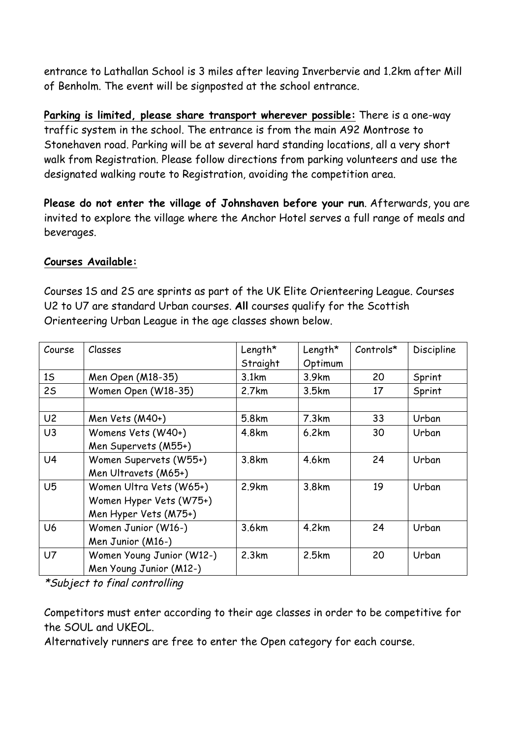entrance to Lathallan School is 3 miles after leaving Inverbervie and 1.2km after Mill of Benholm. The event will be signposted at the school entrance.

**Parking is limited, please share transport wherever possible:** There is a one-way traffic system in the school. The entrance is from the main A92 Montrose to Stonehaven road. Parking will be at several hard standing locations, all a very short walk from Registration. Please follow directions from parking volunteers and use the designated walking route to Registration, avoiding the competition area.

**Please do not enter the village of Johnshaven before your run**. Afterwards, you are invited to explore the village where the Anchor Hotel serves a full range of meals and beverages.

#### **Courses Available:**

Courses 1S and 2S are sprints as part of the UK Elite Orienteering League. Courses U2 to U7 are standard Urban courses. **All** courses qualify for the Scottish Orienteering Urban League in the age classes shown below.

| Course         | Classes                   | Length*  | Length* | $Controls*$ | Discipline |
|----------------|---------------------------|----------|---------|-------------|------------|
|                |                           | Straight | Optimum |             |            |
| 15             | Men Open (M18-35)         | 3.1km    | 3.9km   | 20          | Sprint     |
| 25             | Women Open (W18-35)       | 2.7km    | 3.5km   | 17          | Sprint     |
|                |                           |          |         |             |            |
| U <sub>2</sub> | Men Vets (M40+)           | 5.8km    | 7.3km   | 33          | Urban      |
| U <sub>3</sub> | Womens Vets (W40+)        | 4.8km    | 6.2km   | 30          | Urban      |
|                | Men Supervets (M55+)      |          |         |             |            |
| U <sub>4</sub> | Women Supervets (W55+)    | 3.8km    | 4.6km   | 24          | Urban      |
|                | Men Ultravets (M65+)      |          |         |             |            |
| U <sub>5</sub> | Women Ultra Vets (W65+)   | 2.9km    | 3.8km   | 19          | Urban      |
|                | Women Hyper Vets (W75+)   |          |         |             |            |
|                | Men Hyper Vets (M75+)     |          |         |             |            |
| U <sub>6</sub> | Women Junior (W16-)       | 3.6km    | 4.2km   | 24          | Urban      |
|                | Men Junior (M16-)         |          |         |             |            |
| U <sub>7</sub> | Women Young Junior (W12-) | 2.3km    | 2.5km   | 20          | Urban      |
|                | Men Young Junior (M12-)   |          |         |             |            |

\*Subject to final controlling

Competitors must enter according to their age classes in order to be competitive for the SOUL and UKEOL.

Alternatively runners are free to enter the Open category for each course.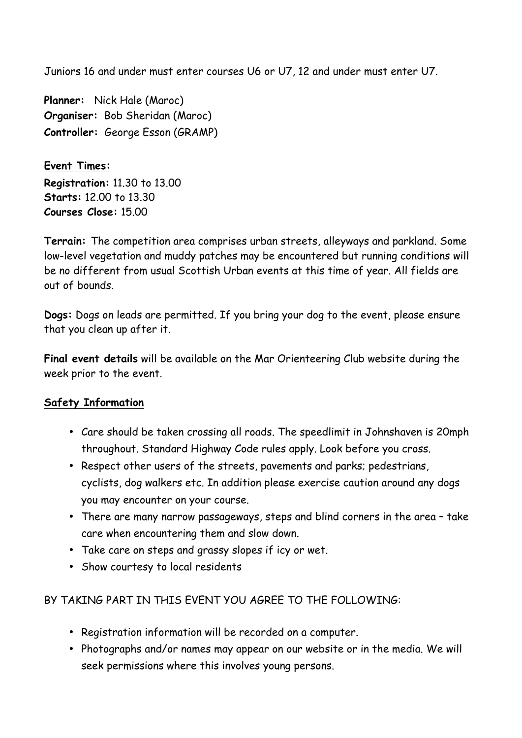Juniors 16 and under must enter courses U6 or U7, 12 and under must enter U7.

**Planner:** Nick Hale (Maroc) **Organiser:** Bob Sheridan (Maroc) **Controller:** George Esson (GRAMP)

**Event Times: Registration:** 11.30 to 13.00 **Starts:** 12.00 to 13.30 **Courses Close:** 15.00

**Terrain:** The competition area comprises urban streets, alleyways and parkland. Some low-level vegetation and muddy patches may be encountered but running conditions will be no different from usual Scottish Urban events at this time of year. All fields are out of bounds.

**Dogs:** Dogs on leads are permitted. If you bring your dog to the event, please ensure that you clean up after it.

**Final event details** will be available on the Mar Orienteering Club website during the week prior to the event.

## **Safety Information**

- Care should be taken crossing all roads. The speedlimit in Johnshaven is 20mph throughout. Standard Highway Code rules apply. Look before you cross.
- Respect other users of the streets, pavements and parks; pedestrians, cyclists, dog walkers etc. In addition please exercise caution around any dogs you may encounter on your course.
- There are many narrow passageways, steps and blind corners in the area take care when encountering them and slow down.
- Take care on steps and grassy slopes if icy or wet.
- Show courtesy to local residents

## BY TAKING PART IN THIS EVENT YOU AGREE TO THE FOLLOWING:

- Registration information will be recorded on a computer.
- Photographs and/or names may appear on our website or in the media. We will seek permissions where this involves young persons.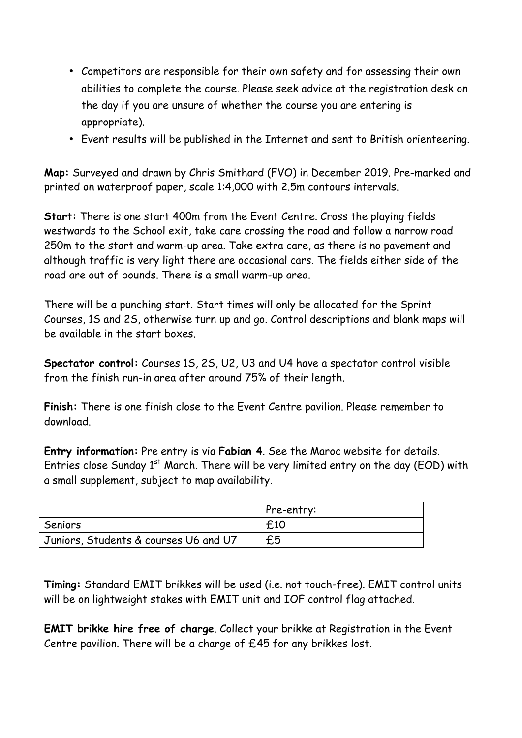- Competitors are responsible for their own safety and for assessing their own abilities to complete the course. Please seek advice at the registration desk on the day if you are unsure of whether the course you are entering is appropriate).
- Event results will be published in the Internet and sent to British orienteering.

**Map:** Surveyed and drawn by Chris Smithard (FVO) in December 2019. Pre-marked and printed on waterproof paper, scale 1:4,000 with 2.5m contours intervals.

**Start:** There is one start 400m from the Event Centre. Cross the playing fields westwards to the School exit, take care crossing the road and follow a narrow road 250m to the start and warm-up area. Take extra care, as there is no pavement and although traffic is very light there are occasional cars. The fields either side of the road are out of bounds. There is a small warm-up area.

There will be a punching start. Start times will only be allocated for the Sprint Courses, 1S and 2S, otherwise turn up and go. Control descriptions and blank maps will be available in the start boxes.

**Spectator control:** Courses 1S, 2S, U2, U3 and U4 have a spectator control visible from the finish run-in area after around 75% of their length.

**Finish:** There is one finish close to the Event Centre pavilion. Please remember to download.

**Entry information:** Pre entry is via **Fabian 4**. See the Maroc website for details. Entries close Sunday  $1<sup>st</sup>$  March. There will be very limited entry on the day (EOD) with a small supplement, subject to map availability.

|                                       | Pre-entry: |
|---------------------------------------|------------|
| Seniors                               | £10        |
| Juniors, Students & courses U6 and U7 | £5         |

**Timing:** Standard EMIT brikkes will be used (i.e. not touch-free). EMIT control units will be on lightweight stakes with EMIT unit and IOF control flag attached.

**EMIT brikke hire free of charge**. Collect your brikke at Registration in the Event Centre pavilion. There will be a charge of £45 for any brikkes lost.